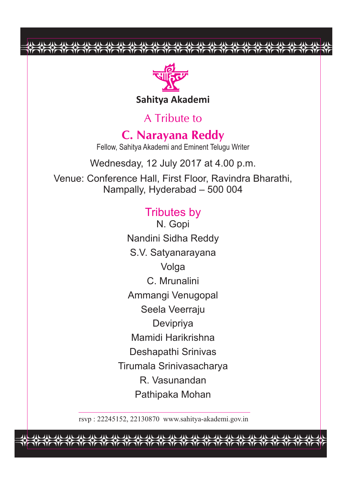

巫 巫 巫

巫 尖 央 巫 巫

巫 巫

A Tribute to

**C. Narayana Reddy** Fellow, Sahitya Akademi and Eminent Telugu Writer

Wednesday, 12 July 2017 at 4.00 p.m.

Venue: Conference Hall, First Floor, Ravindra Bharathi, Nampally, Hyderabad – 500 004

### Tributes by

N. Gopi Nandini Sidha Reddy S.V. Satyanarayana **Volga** C. Mrunalini Ammangi Venugopal Seela Veerraju Devipriya Mamidi Harikrishna Deshapathi Srinivas Tirumala Srinivasacharya R. Vasunandan Pathipaka Mohan

rsvp : 22245152, 22130870 www.sahitya-akademi.gov.in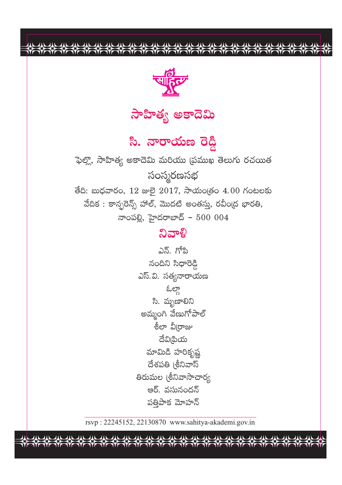

 $\frac{1}{2}$ 

री की री में मैं किया है। मैं किसी मैं किसी मैं किसी मैं किसी मैं किसी मैं किसी मैं किसी मैं किसी मैं किसी मैं

# సాహిత్య అకాదెమి

<mark>సి. నారాయణ రె</mark>డ్డి

ఫెల్లొ, సాహిత్య అకాదెమి మరియు (పముఖ తెలుగు రచయిత సంస్మరణసభ తేది: బుధవారం, 12 జులై 2017, సాయం(తం 4.00 గంటలకు వేదిక : కాన్ఫరెన్స్ హాల్, మొదటి అంతస్తు, రవీం(ద భారతి, నాంపల్లి, హైదరాబాద్ –  $500004$ 

## ನಿವಾಳಿ

ఎన్. గోపి నందిని సిధారెడ్డి ఎస్.వి. సత్యనారాయణ ఓల్గా సి. మృణాలిని అమ్మంగి వేణుగోపాల్ శీలా వీ∣రాజు దేవిౖిమ మామిడి హరికృష్ణ దేశపతి (శీనివాస్ తిరుమల (శీనివాసాచార్య ఆర్. వసునందన్ పత్రిపాక మోహన్

rsvp: 22245152, 22130870 www.sahitya-akademi.gov.in